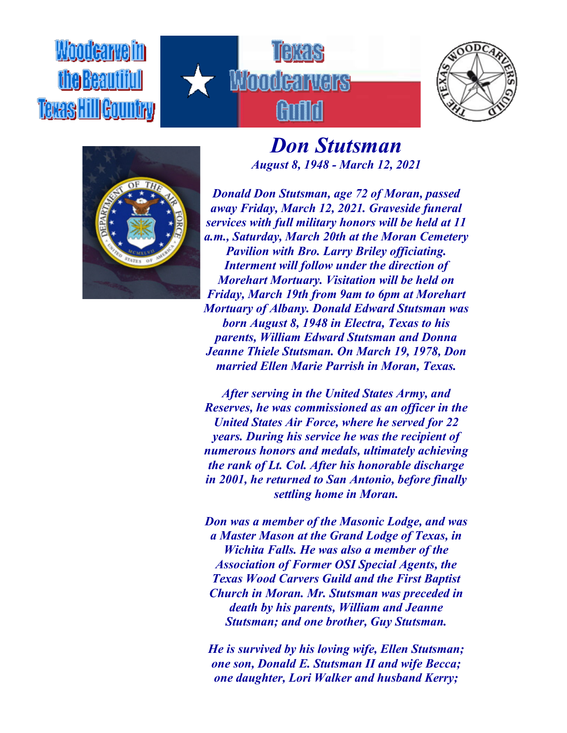Woodcarvelin **Texas HillGountry** 





## *Don Stutsman August 8, 1948 - March 12, 2021*



*Donald Don Stutsman, age 72 of Moran, passed away Friday, March 12, 2021. Graveside funeral services with full military honors will be held at 11 a.m., Saturday, March 20th at the Moran Cemetery Pavilion with Bro. Larry Briley officiating. Interment will follow under the direction of Morehart Mortuary. Visitation will be held on Friday, March 19th from 9am to 6pm at Morehart Mortuary of Albany. Donald Edward Stutsman was born August 8, 1948 in Electra, Texas to his parents, William Edward Stutsman and Donna Jeanne Thiele Stutsman. On March 19, 1978, Don married Ellen Marie Parrish in Moran, Texas.*

*After serving in the United States Army, and Reserves, he was commissioned as an officer in the United States Air Force, where he served for 22 years. During his service he was the recipient of numerous honors and medals, ultimately achieving the rank of Lt. Col. After his honorable discharge in 2001, he returned to San Antonio, before finally settling home in Moran.*

*Don was a member of the Masonic Lodge, and was a Master Mason at the Grand Lodge of Texas, in Wichita Falls. He was also a member of the Association of Former OSI Special Agents, the Texas Wood Carvers Guild and the First Baptist Church in Moran. Mr. Stutsman was preceded in death by his parents, William and Jeanne Stutsman; and one brother, Guy Stutsman.*

*He is survived by his loving wife, Ellen Stutsman; one son, Donald E. Stutsman II and wife Becca; one daughter, Lori Walker and husband Kerry;*